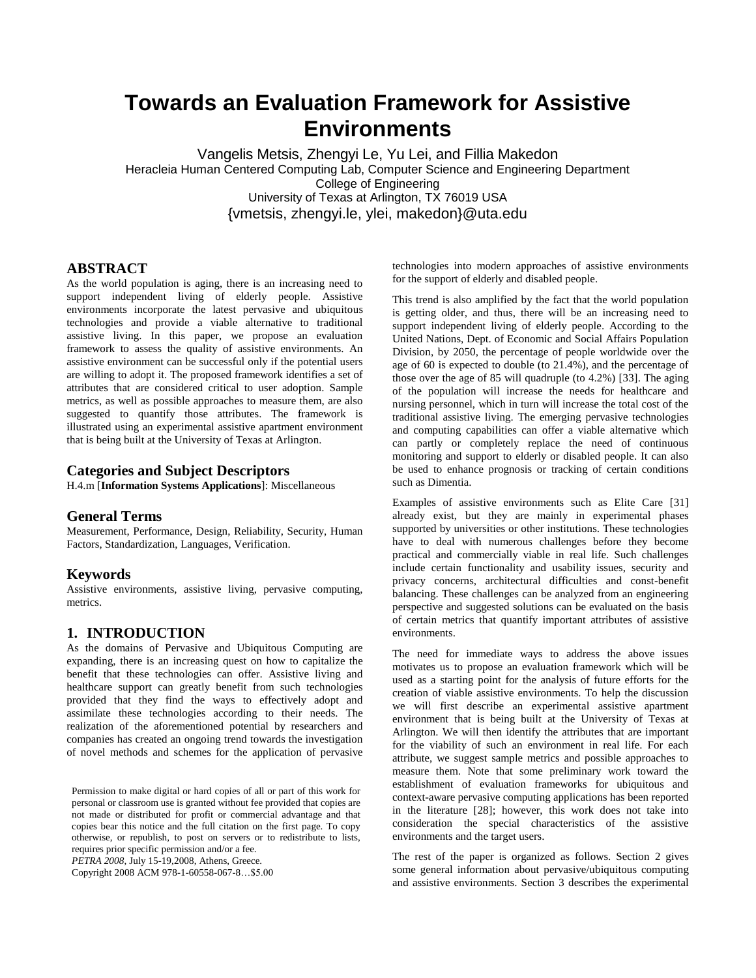# **Towards an Evaluation Framework for Assistive Environments**

Vangelis Metsis, Zhengyi Le, Yu Lei, and Fillia Makedon Heracleia Human Centered Computing Lab, Computer Science and Engineering Department College of Engineering University of Texas at Arlington, TX 76019 USA {vmetsis, zhengyi.le, ylei, makedon}@uta.edu

#### **ABSTRACT**

As the world population is aging, there is an increasing need to support independent living of elderly people. Assistive environments incorporate the latest pervasive and ubiquitous technologies and provide a viable alternative to traditional assistive living. In this paper, we propose an evaluation framework to assess the quality of assistive environments. An assistive environment can be successful only if the potential users are willing to adopt it. The proposed framework identifies a set of attributes that are considered critical to user adoption. Sample metrics, as well as possible approaches to measure them, are also suggested to quantify those attributes. The framework is illustrated using an experimental assistive apartment environment that is being built at the University of Texas at Arlington.

#### **Categories and Subject Descriptors**

H.4.m [**Information Systems Applications**]: Miscellaneous

## **General Terms**

Measurement, Performance, Design, Reliability, Security, Human Factors, Standardization, Languages, Verification.

#### **Keywords**

Assistive environments, assistive living, pervasive computing, metrics.

## **1. INTRODUCTION**

As the domains of Pervasive and Ubiquitous Computing are expanding, there is an increasing quest on how to capitalize the benefit that these technologies can offer. Assistive living and healthcare support can greatly benefit from such technologies provided that they find the ways to effectively adopt and assimilate these technologies according to their needs. The realization of the aforementioned potential by researchers and companies has created an ongoing trend towards the investigation of novel methods and schemes for the application of pervasive

Permission to make digital or hard copies of all or part of this work for personal or classroom use is granted without fee provided that copies are not made or distributed for profit or commercial advantage and that copies bear this notice and the full citation on the first page. To copy otherwise, or republish, to post on servers or to redistribute to lists, requires prior specific permission and/or a fee.

*PETRA 2008*, July 15-19,2008, Athens, Greece.

Copyright 2008 ACM 978-1-60558-067-8…\$5.00

technologies into modern approaches of assistive environments for the support of elderly and disabled people.

This trend is also amplified by the fact that the world population is getting older, and thus, there will be an increasing need to support independent living of elderly people. According to the United Nations, Dept. of Economic and Social Affairs Population Division, by 2050, the percentage of people worldwide over the age of 60 is expected to double (to 21.4%), and the percentage of those over the age of 85 will quadruple (to 4.2%) [\[33\].](#page-7-0) The aging of the population will increase the needs for healthcare and nursing personnel, which in turn will increase the total cost of the traditional assistive living. The emerging pervasive technologies and computing capabilities can offer a viable alternative which can partly or completely replace the need of continuous monitoring and support to elderly or disabled people. It can also be used to enhance prognosis or tracking of certain conditions such as Dimentia.

Examples of assistive environments such as Elite Care [\[31\]](#page-7-1) already exist, but they are mainly in experimental phases supported by universities or other institutions. These technologies have to deal with numerous challenges before they become practical and commercially viable in real life. Such challenges include certain functionality and usability issues, security and privacy concerns, architectural difficulties and const-benefit balancing. These challenges can be analyzed from an engineering perspective and suggested solutions can be evaluated on the basis of certain metrics that quantify important attributes of assistive environments.

The need for immediate ways to address the above issues motivates us to propose an evaluation framework which will be used as a starting point for the analysis of future efforts for the creation of viable assistive environments. To help the discussion we will first describe an experimental assistive apartment environment that is being built at the University of Texas at Arlington. We will then identify the attributes that are important for the viability of such an environment in real life. For each attribute, we suggest sample metrics and possible approaches to measure them. Note that some preliminary work toward the establishment of evaluation frameworks for ubiquitous and context-aware pervasive computing applications has been reported in the literature [\[28\];](#page-6-0) however, this work does not take into consideration the special characteristics of the assistive environments and the target users.

The rest of the paper is organized as follows. Section [2](#page-1-0) gives some general information about pervasive/ubiquitous computing and assistive environments. Section [3](#page-1-1) describes the experimental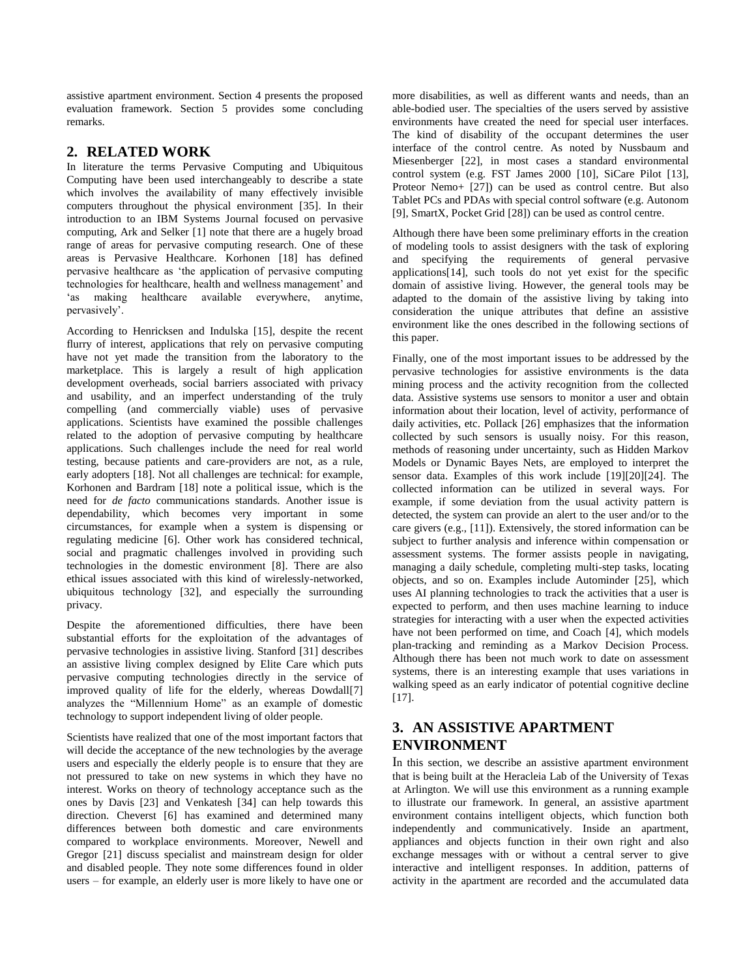assistive apartment environment. Section 4 presents the proposed evaluation framework. Section [5](#page-5-0) provides some concluding remarks.

## <span id="page-1-0"></span>**2. RELATED WORK**

In literature the terms Pervasive Computing and Ubiquitous Computing have been used interchangeably to describe a state which involves the availability of many effectively invisible computers throughout the physical environment [\[35\].](#page-7-2) In their introduction to an IBM Systems Journal focused on pervasive computing, Ark and Selker [\[1\]](#page-6-1) note that there are a hugely broad range of areas for pervasive computing research. One of these areas is Pervasive Healthcare. Korhonen [\[18\]](#page-6-2) has defined pervasive healthcare as "the application of pervasive computing technologies for healthcare, health and wellness management' and 'as making healthcare available everywhere, anytime, pervasively".

According to Henricksen and Indulska [\[15\],](#page-6-3) despite the recent flurry of interest, applications that rely on pervasive computing have not yet made the transition from the laboratory to the marketplace. This is largely a result of high application development overheads, social barriers associated with privacy and usability, and an imperfect understanding of the truly compelling (and commercially viable) uses of pervasive applications. Scientists have examined the possible challenges related to the adoption of pervasive computing by healthcare applications. Such challenges include the need for real world testing, because patients and care-providers are not, as a rule, early adopters [\[18\].](#page-6-2) Not all challenges are technical: for example, Korhonen and Bardram [\[18\]](#page-6-2) note a political issue, which is the need for *de facto* communications standards. Another issue is dependability, which becomes very important in some circumstances, for example when a system is dispensing or regulating medicine [\[6\].](#page-6-4) Other work has considered technical, social and pragmatic challenges involved in providing such technologies in the domestic environment [\[8\].](#page-6-5) There are also ethical issues associated with this kind of wirelessly-networked, ubiquitous technology [\[32\],](#page-7-3) and especially the surrounding privacy.

Despite the aforementioned difficulties, there have been substantial efforts for the exploitation of the advantages of pervasive technologies in assistive living. Stanford [\[31\]](#page-7-1) describes an assistive living complex designed by Elite Care which puts pervasive computing technologies directly in the service of improved quality of life for the elderly, whereas Dowdal[l\[7\]](#page-6-6) analyzes the "Millennium Home" as an example of domestic technology to support independent living of older people.

Scientists have realized that one of the most important factors that will decide the acceptance of the new technologies by the average users and especially the elderly people is to ensure that they are not pressured to take on new systems in which they have no interest. Works on theory of technology acceptance such as the ones by Davis [\[23\]](#page-6-7) and Venkatesh [\[34\]](#page-7-4) can help towards this direction. Cheverst [\[6\]](#page-6-4) has examined and determined many differences between both domestic and care environments compared to workplace environments. Moreover, Newell and Gregor [\[21\]](#page-6-8) discuss specialist and mainstream design for older and disabled people. They note some differences found in older users – for example, an elderly user is more likely to have one or more disabilities, as well as different wants and needs, than an able-bodied user. The specialties of the users served by assistive environments have created the need for special user interfaces. The kind of disability of the occupant determines the user interface of the control centre. As noted by Nussbaum and Miesenberger [\[22\],](#page-6-9) in most cases a standard environmental control system (e.g. FST James 2000 [\[10\],](#page-6-10) SiCare Pilot [\[13\],](#page-6-11) Proteor Nemo+ [\[27\]\)](#page-6-12) can be used as control centre. But also Tablet PCs and PDAs with special control software (e.g. Autonom [\[9\],](#page-6-13) SmartX, Pocket Grid [\[28\]\)](#page-6-0) can be used as control centre.

Although there have been some preliminary efforts in the creation of modeling tools to assist designers with the task of exploring and specifying the requirements of general pervasive application[s\[14\],](#page-6-14) such tools do not yet exist for the specific domain of assistive living. However, the general tools may be adapted to the domain of the assistive living by taking into consideration the unique attributes that define an assistive environment like the ones described in the following sections of this paper.

Finally, one of the most important issues to be addressed by the pervasive technologies for assistive environments is the data mining process and the activity recognition from the collected data. Assistive systems use sensors to monitor a user and obtain information about their location, level of activity, performance of daily activities, etc. Pollack [\[26\]](#page-6-15) emphasizes that the information collected by such sensors is usually noisy. For this reason, methods of reasoning under uncertainty, such as Hidden Markov Models or Dynamic Bayes Nets, are employed to interpret the sensor data. Examples of this work include [\[19\]\[20\]](#page-6-16)[\[24\].](#page-6-17) The collected information can be utilized in several ways. For example, if some deviation from the usual activity pattern is detected, the system can provide an alert to the user and/or to the care givers (e.g., [\[11\]\)](#page-6-18). Extensively, the stored information can be subject to further analysis and inference within compensation or assessment systems. The former assists people in navigating, managing a daily schedule, completing multi-step tasks, locating objects, and so on. Examples include Autominder [\[25\],](#page-6-19) which uses AI planning technologies to track the activities that a user is expected to perform, and then uses machine learning to induce strategies for interacting with a user when the expected activities have not been performed on time, and Coach [\[4\],](#page-6-20) which models plan-tracking and reminding as a Markov Decision Process. Although there has been not much work to date on assessment systems, there is an interesting example that uses variations in walking speed as an early indicator of potential cognitive decline [\[17\].](#page-6-21)

# <span id="page-1-1"></span>**3. AN ASSISTIVE APARTMENT ENVIRONMENT**

In this section, we describe an assistive apartment environment that is being built at the Heracleia Lab of the University of Texas at Arlington. We will use this environment as a running example to illustrate our framework. In general, an assistive apartment environment contains intelligent objects, which function both independently and communicatively. Inside an apartment, appliances and objects function in their own right and also exchange messages with or without a central server to give interactive and intelligent responses. In addition, patterns of activity in the apartment are recorded and the accumulated data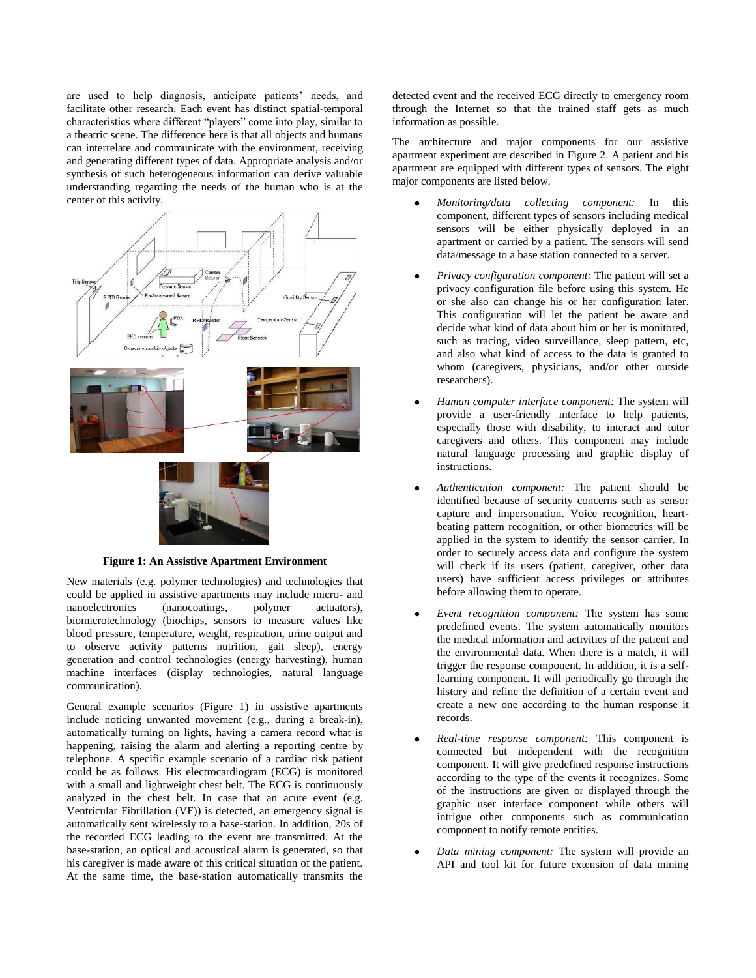are used to help diagnosis, anticipate patients" needs, and facilitate other research. Each event has distinct spatial-temporal characteristics where different "players" come into play, similar to a theatric scene. The difference here is that all objects and humans can interrelate and communicate with the environment, receiving and generating different types of data. Appropriate analysis and/or synthesis of such heterogeneous information can derive valuable understanding regarding the needs of the human who is at the center of this activity.



**Figure 1: An Assistive Apartment Environment**

New materials (e.g. polymer technologies) and technologies that could be applied in assistive apartments may include micro- and<br>nanoelectronics (nanocoatings, polymer actuators). nanoelectronics (nanocoatings, polymer actuators), biomicrotechnology (biochips, sensors to measure values like blood pressure, temperature, weight, respiration, urine output and to observe activity patterns nutrition, gait sleep), energy generation and control technologies (energy harvesting), human machine interfaces (display technologies, natural language communication).

General example scenarios (Figure 1) in assistive apartments include noticing unwanted movement (e.g., during a break-in), automatically turning on lights, having a camera record what is happening, raising the alarm and alerting a reporting centre by telephone. A specific example scenario of a cardiac risk patient could be as follows. His electrocardiogram (ECG) is monitored with a small and lightweight chest belt. The ECG is continuously analyzed in the chest belt. In case that an acute event (e.g. Ventricular Fibrillation (VF)) is detected, an emergency signal is automatically sent wirelessly to a base-station. In addition, 20s of the recorded ECG leading to the event are transmitted. At the base-station, an optical and acoustical alarm is generated, so that his caregiver is made aware of this critical situation of the patient. At the same time, the base-station automatically transmits the

detected event and the received ECG directly to emergency room through the Internet so that the trained staff gets as much information as possible.

The architecture and major components for our assistive apartment experiment are described in Figure 2. A patient and his apartment are equipped with different types of sensors. The eight major components are listed below.

- *Monitoring/data collecting component:* In this component, different types of sensors including medical sensors will be either physically deployed in an apartment or carried by a patient. The sensors will send data/message to a base station connected to a server.
- *Privacy configuration component:* The patient will set a privacy configuration file before using this system. He or she also can change his or her configuration later. This configuration will let the patient be aware and decide what kind of data about him or her is monitored, such as tracing, video surveillance, sleep pattern, etc, and also what kind of access to the data is granted to whom (caregivers, physicians, and/or other outside researchers).
- *Human computer interface component:* The system will provide a user-friendly interface to help patients, especially those with disability, to interact and tutor caregivers and others. This component may include natural language processing and graphic display of instructions.
- *Authentication component:* The patient should be identified because of security concerns such as sensor capture and impersonation. Voice recognition, heartbeating pattern recognition, or other biometrics will be applied in the system to identify the sensor carrier. In order to securely access data and configure the system will check if its users (patient, caregiver, other data users) have sufficient access privileges or attributes before allowing them to operate.
- *Event recognition component:* The system has some predefined events. The system automatically monitors the medical information and activities of the patient and the environmental data. When there is a match, it will trigger the response component. In addition, it is a selflearning component. It will periodically go through the history and refine the definition of a certain event and create a new one according to the human response it records.
- *Real-time response component:* This component is connected but independent with the recognition component. It will give predefined response instructions according to the type of the events it recognizes. Some of the instructions are given or displayed through the graphic user interface component while others will intrigue other components such as communication component to notify remote entities.
- *Data mining component:* The system will provide an API and tool kit for future extension of data mining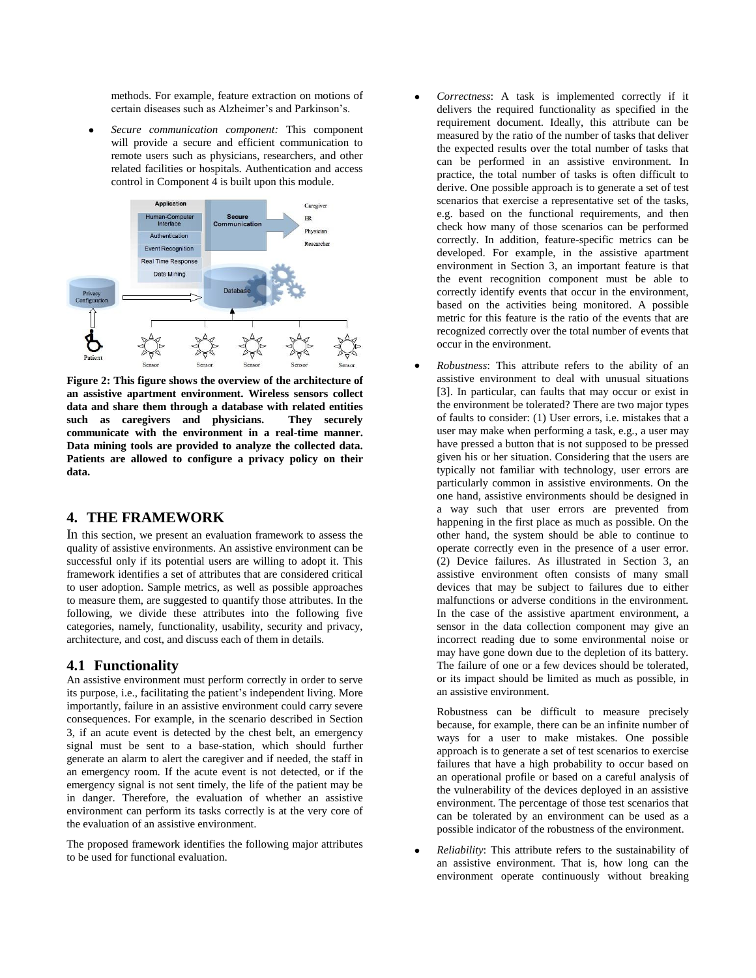methods. For example, feature extraction on motions of certain diseases such as Alzheimer"s and Parkinson"s.

*Secure communication component:* This component will provide a secure and efficient communication to remote users such as physicians, researchers, and other related facilities or hospitals. Authentication and access control in Component 4 is built upon this module.



**Figure 2: This figure shows the overview of the architecture of an assistive apartment environment. Wireless sensors collect data and share them through a database with related entities such as caregivers and physicians. They securely communicate with the environment in a real-time manner. Data mining tools are provided to analyze the collected data. Patients are allowed to configure a privacy policy on their data.** 

#### **4. THE FRAMEWORK**

In this section, we present an evaluation framework to assess the quality of assistive environments. An assistive environment can be successful only if its potential users are willing to adopt it. This framework identifies a set of attributes that are considered critical to user adoption. Sample metrics, as well as possible approaches to measure them, are suggested to quantify those attributes. In the following, we divide these attributes into the following five categories, namely, functionality, usability, security and privacy, architecture, and cost, and discuss each of them in details.

## **4.1 Functionality**

An assistive environment must perform correctly in order to serve its purpose, i.e., facilitating the patient"s independent living. More importantly, failure in an assistive environment could carry severe consequences. For example, in the scenario described in Section [3,](#page-1-1) if an acute event is detected by the chest belt, an emergency signal must be sent to a base-station, which should further generate an alarm to alert the caregiver and if needed, the staff in an emergency room. If the acute event is not detected, or if the emergency signal is not sent timely, the life of the patient may be in danger. Therefore, the evaluation of whether an assistive environment can perform its tasks correctly is at the very core of the evaluation of an assistive environment.

The proposed framework identifies the following major attributes to be used for functional evaluation.

- *Correctness*: A task is implemented correctly if it delivers the required functionality as specified in the requirement document. Ideally, this attribute can be measured by the ratio of the number of tasks that deliver the expected results over the total number of tasks that can be performed in an assistive environment. In practice, the total number of tasks is often difficult to derive. One possible approach is to generate a set of test scenarios that exercise a representative set of the tasks, e.g. based on the functional requirements, and then check how many of those scenarios can be performed correctly. In addition, feature-specific metrics can be developed. For example, in the assistive apartment environment in Section [3,](#page-1-1) an important feature is that the event recognition component must be able to correctly identify events that occur in the environment, based on the activities being monitored. A possible metric for this feature is the ratio of the events that are recognized correctly over the total number of events that occur in the environment.
- *Robustness*: This attribute refers to the ability of an assistive environment to deal with unusual situations [\[3\].](#page-6-22) In particular, can faults that may occur or exist in the environment be tolerated? There are two major types of faults to consider: (1) User errors, i.e. mistakes that a user may make when performing a task, e.g., a user may have pressed a button that is not supposed to be pressed given his or her situation. Considering that the users are typically not familiar with technology, user errors are particularly common in assistive environments. On the one hand, assistive environments should be designed in a way such that user errors are prevented from happening in the first place as much as possible. On the other hand, the system should be able to continue to operate correctly even in the presence of a user error. (2) Device failures. As illustrated in Section [3,](#page-1-1) an assistive environment often consists of many small devices that may be subject to failures due to either malfunctions or adverse conditions in the environment. In the case of the assistive apartment environment, a sensor in the data collection component may give an incorrect reading due to some environmental noise or may have gone down due to the depletion of its battery. The failure of one or a few devices should be tolerated, or its impact should be limited as much as possible, in an assistive environment.

Robustness can be difficult to measure precisely because, for example, there can be an infinite number of ways for a user to make mistakes. One possible approach is to generate a set of test scenarios to exercise failures that have a high probability to occur based on an operational profile or based on a careful analysis of the vulnerability of the devices deployed in an assistive environment. The percentage of those test scenarios that can be tolerated by an environment can be used as a possible indicator of the robustness of the environment.

*Reliability*: This attribute refers to the sustainability of an assistive environment. That is, how long can the environment operate continuously without breaking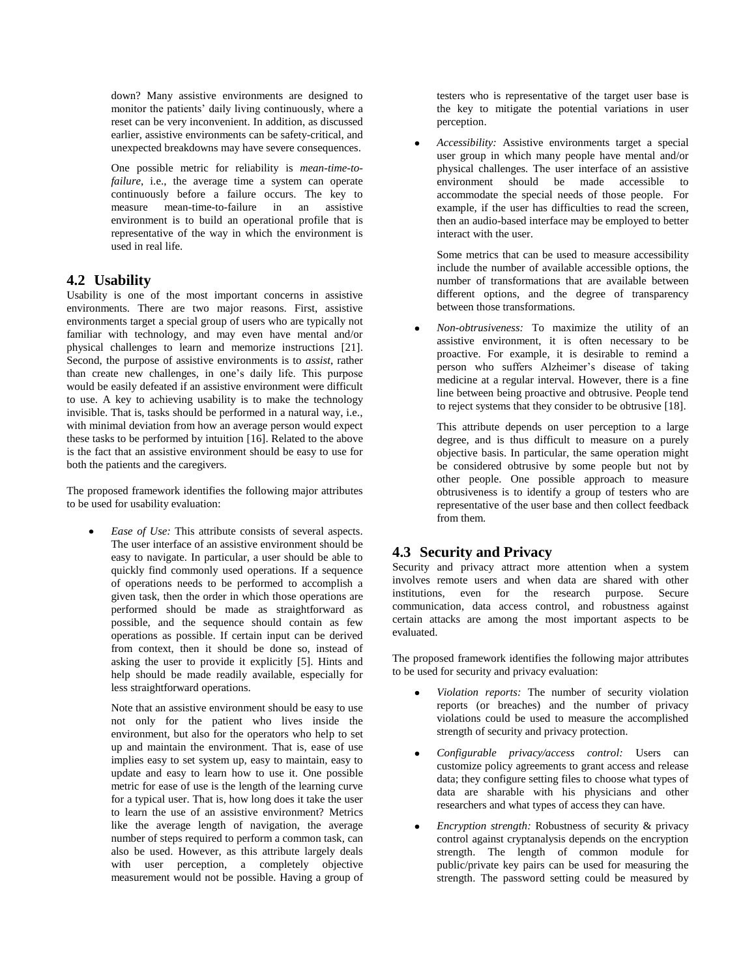down? Many assistive environments are designed to monitor the patients' daily living continuously, where a reset can be very inconvenient. In addition, as discussed earlier, assistive environments can be safety-critical, and unexpected breakdowns may have severe consequences.

One possible metric for reliability is *mean-time-tofailure*, i.e., the average time a system can operate continuously before a failure occurs. The key to measure mean-time-to-failure in an assistive environment is to build an operational profile that is representative of the way in which the environment is used in real life.

# **4.2 Usability**

Usability is one of the most important concerns in assistive environments. There are two major reasons. First, assistive environments target a special group of users who are typically not familiar with technology, and may even have mental and/or physical challenges to learn and memorize instructions [\[21\].](#page-6-8) Second, the purpose of assistive environments is to *assist*, rather than create new challenges, in one"s daily life. This purpose would be easily defeated if an assistive environment were difficult to use. A key to achieving usability is to make the technology invisible. That is, tasks should be performed in a natural way, i.e., with minimal deviation from how an average person would expect these tasks to be performed by intuition [\[16\].](#page-6-23) Related to the above is the fact that an assistive environment should be easy to use for both the patients and the caregivers.

The proposed framework identifies the following major attributes to be used for usability evaluation:

*Ease of Use:* This attribute consists of several aspects. The user interface of an assistive environment should be easy to navigate. In particular, a user should be able to quickly find commonly used operations. If a sequence of operations needs to be performed to accomplish a given task, then the order in which those operations are performed should be made as straightforward as possible, and the sequence should contain as few operations as possible. If certain input can be derived from context, then it should be done so, instead of asking the user to provide it explicitly [\[5\].](#page-6-24) Hints and help should be made readily available, especially for less straightforward operations.

Note that an assistive environment should be easy to use not only for the patient who lives inside the environment, but also for the operators who help to set up and maintain the environment. That is, ease of use implies easy to set system up, easy to maintain, easy to update and easy to learn how to use it. One possible metric for ease of use is the length of the learning curve for a typical user. That is, how long does it take the user to learn the use of an assistive environment? Metrics like the average length of navigation, the average number of steps required to perform a common task, can also be used. However, as this attribute largely deals with user perception, a completely objective measurement would not be possible. Having a group of

testers who is representative of the target user base is the key to mitigate the potential variations in user perception.

*Accessibility:* Assistive environments target a special user group in which many people have mental and/or physical challenges. The user interface of an assistive environment should be made accessible to accommodate the special needs of those people. For example, if the user has difficulties to read the screen, then an audio-based interface may be employed to better interact with the user.

Some metrics that can be used to measure accessibility include the number of available accessible options, the number of transformations that are available between different options, and the degree of transparency between those transformations.

*Non-obtrusiveness:* To maximize the utility of an assistive environment, it is often necessary to be proactive. For example, it is desirable to remind a person who suffers Alzheimer"s disease of taking medicine at a regular interval. However, there is a fine line between being proactive and obtrusive. People tend to reject systems that they consider to be obtrusive [\[18\].](#page-6-2) 

This attribute depends on user perception to a large degree, and is thus difficult to measure on a purely objective basis. In particular, the same operation might be considered obtrusive by some people but not by other people. One possible approach to measure obtrusiveness is to identify a group of testers who are representative of the user base and then collect feedback from them.

# **4.3 Security and Privacy**

Security and privacy attract more attention when a system involves remote users and when data are shared with other institutions, even for the research purpose. Secure communication, data access control, and robustness against certain attacks are among the most important aspects to be evaluated.

The proposed framework identifies the following major attributes to be used for security and privacy evaluation:

- *Violation reports:* The number of security violation reports (or breaches) and the number of privacy violations could be used to measure the accomplished strength of security and privacy protection.
- *Configurable privacy/access control:* Users can customize policy agreements to grant access and release data; they configure setting files to choose what types of data are sharable with his physicians and other researchers and what types of access they can have.
- *Encryption strength:* Robustness of security & privacy control against cryptanalysis depends on the encryption strength. The length of common module for public/private key pairs can be used for measuring the strength. The password setting could be measured by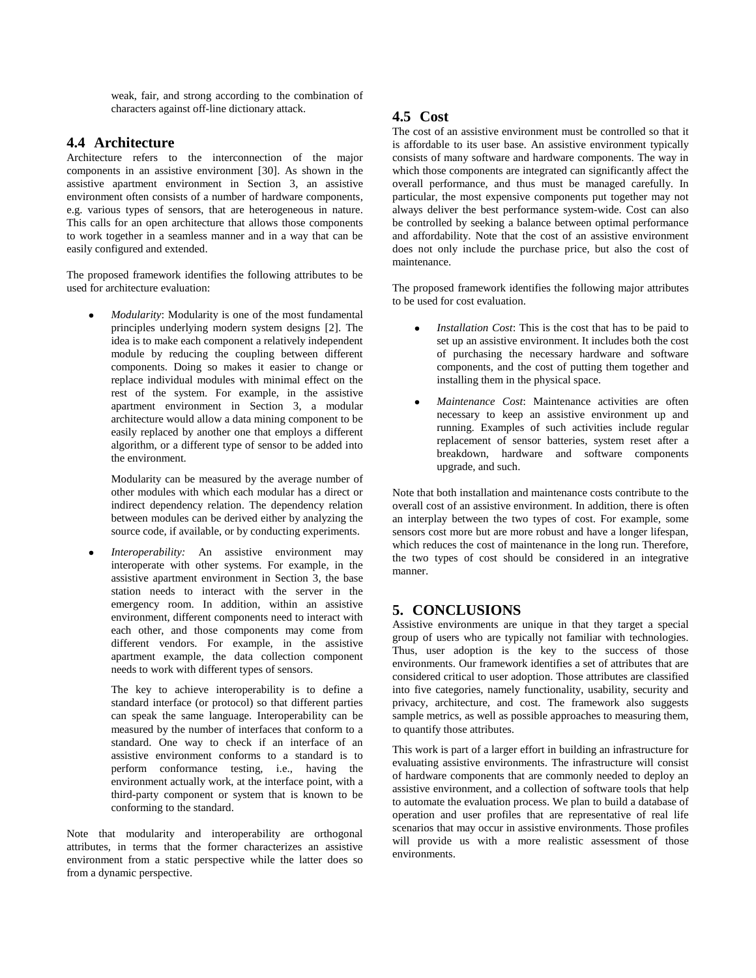weak, fair, and strong according to the combination of characters against off-line dictionary attack.

## **4.4 Architecture**

Architecture refers to the interconnection of the major components in an assistive environment [\[30\].](#page-7-5) As shown in the assistive apartment environment in Section [3,](#page-1-1) an assistive environment often consists of a number of hardware components, e.g. various types of sensors, that are heterogeneous in nature. This calls for an open architecture that allows those components to work together in a seamless manner and in a way that can be easily configured and extended.

The proposed framework identifies the following attributes to be used for architecture evaluation:

*Modularity*: Modularity is one of the most fundamental principles underlying modern system designs [\[2\].](#page-6-25) The idea is to make each component a relatively independent module by reducing the coupling between different components. Doing so makes it easier to change or replace individual modules with minimal effect on the rest of the system. For example, in the assistive apartment environment in Section [3,](#page-1-1) a modular architecture would allow a data mining component to be easily replaced by another one that employs a different algorithm, or a different type of sensor to be added into the environment.

Modularity can be measured by the average number of other modules with which each modular has a direct or indirect dependency relation. The dependency relation between modules can be derived either by analyzing the source code, if available, or by conducting experiments.

*Interoperability:* An assistive environment may interoperate with other systems. For example, in the assistive apartment environment in Section [3,](#page-1-1) the base station needs to interact with the server in the emergency room. In addition, within an assistive environment, different components need to interact with each other, and those components may come from different vendors. For example, in the assistive apartment example, the data collection component needs to work with different types of sensors.

The key to achieve interoperability is to define a standard interface (or protocol) so that different parties can speak the same language. Interoperability can be measured by the number of interfaces that conform to a standard. One way to check if an interface of an assistive environment conforms to a standard is to perform conformance testing, i.e., having the environment actually work, at the interface point, with a third-party component or system that is known to be conforming to the standard.

Note that modularity and interoperability are orthogonal attributes, in terms that the former characterizes an assistive environment from a static perspective while the latter does so from a dynamic perspective.

# **4.5 Cost**

The cost of an assistive environment must be controlled so that it is affordable to its user base. An assistive environment typically consists of many software and hardware components. The way in which those components are integrated can significantly affect the overall performance, and thus must be managed carefully. In particular, the most expensive components put together may not always deliver the best performance system-wide. Cost can also be controlled by seeking a balance between optimal performance and affordability. Note that the cost of an assistive environment does not only include the purchase price, but also the cost of maintenance.

The proposed framework identifies the following major attributes to be used for cost evaluation.

- *Installation Cost*: This is the cost that has to be paid to set up an assistive environment. It includes both the cost of purchasing the necessary hardware and software components, and the cost of putting them together and installing them in the physical space.
- *Maintenance Cost*: Maintenance activities are often necessary to keep an assistive environment up and running. Examples of such activities include regular replacement of sensor batteries, system reset after a breakdown, hardware and software components upgrade, and such.

Note that both installation and maintenance costs contribute to the overall cost of an assistive environment. In addition, there is often an interplay between the two types of cost. For example, some sensors cost more but are more robust and have a longer lifespan, which reduces the cost of maintenance in the long run. Therefore, the two types of cost should be considered in an integrative manner.

# <span id="page-5-0"></span>**5. CONCLUSIONS**

Assistive environments are unique in that they target a special group of users who are typically not familiar with technologies. Thus, user adoption is the key to the success of those environments. Our framework identifies a set of attributes that are considered critical to user adoption. Those attributes are classified into five categories, namely functionality, usability, security and privacy, architecture, and cost. The framework also suggests sample metrics, as well as possible approaches to measuring them, to quantify those attributes.

This work is part of a larger effort in building an infrastructure for evaluating assistive environments. The infrastructure will consist of hardware components that are commonly needed to deploy an assistive environment, and a collection of software tools that help to automate the evaluation process. We plan to build a database of operation and user profiles that are representative of real life scenarios that may occur in assistive environments. Those profiles will provide us with a more realistic assessment of those environments.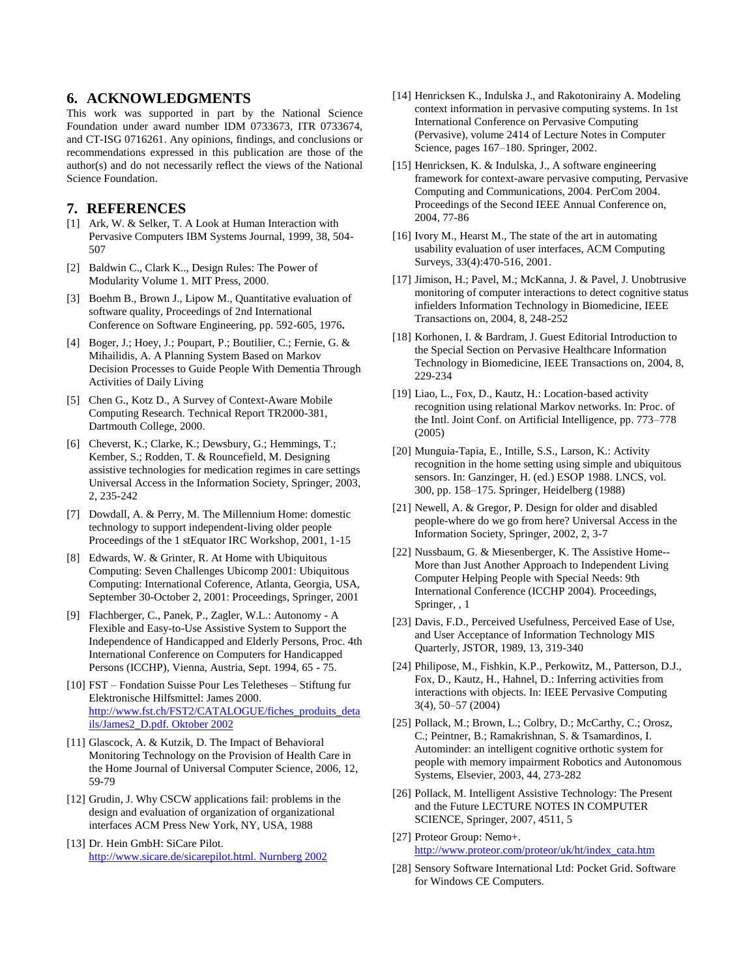#### **6. ACKNOWLEDGMENTS**

This work was supported in part by the National Science Foundation under award number IDM 0733673, ITR 0733674, and CT-ISG 0716261. Any opinions, findings, and conclusions or recommendations expressed in this publication are those of the author(s) and do not necessarily reflect the views of the National Science Foundation.

#### **7. REFERENCES**

- <span id="page-6-1"></span>[1] Ark, W. & Selker, T. A Look at Human Interaction with Pervasive Computers IBM Systems Journal, 1999, 38, 504- 507
- <span id="page-6-25"></span>[2] Baldwin C., Clark K.., Design Rules: The Power of Modularity Volume 1. MIT Press, 2000.
- <span id="page-6-22"></span>[3] Boehm B., Brown J., Lipow M., Quantitative evaluation of software quality, Proceedings of 2nd International Conference on Software Engineering, pp. 592-605, 1976**.**
- <span id="page-6-20"></span>[4] Boger, J.; Hoey, J.; Poupart, P.; Boutilier, C.; Fernie, G. & Mihailidis, A. A Planning System Based on Markov Decision Processes to Guide People With Dementia Through Activities of Daily Living
- <span id="page-6-24"></span>[5] Chen G., Kotz D., A Survey of Context-Aware Mobile Computing Research. Technical Report TR2000-381, Dartmouth College, 2000.
- <span id="page-6-4"></span>[6] Cheverst, K.; Clarke, K.; Dewsbury, G.; Hemmings, T.; Kember, S.; Rodden, T. & Rouncefield, M. Designing assistive technologies for medication regimes in care settings Universal Access in the Information Society, Springer, 2003, 2, 235-242
- <span id="page-6-6"></span>[7] Dowdall, A. & Perry, M. The Millennium Home: domestic technology to support independent-living older people Proceedings of the 1 stEquator IRC Workshop, 2001, 1-15
- <span id="page-6-5"></span>[8] Edwards, W. & Grinter, R. At Home with Ubiquitous Computing: Seven Challenges Ubicomp 2001: Ubiquitous Computing: International Coference, Atlanta, Georgia, USA, September 30-October 2, 2001: Proceedings, Springer, 2001
- <span id="page-6-13"></span>[9] Flachberger, C., Panek, P., Zagler, W.L.: Autonomy - A Flexible and Easy-to-Use Assistive System to Support the Independence of Handicapped and Elderly Persons, Proc. 4th International Conference on Computers for Handicapped Persons (ICCHP), Vienna, Austria, Sept. 1994, 65 - 75.
- <span id="page-6-10"></span>[10] FST – Fondation Suisse Pour Les Teletheses – Stiftung fur Elektronische Hilfsmittel: James 2000. [http://www.fst.ch/FST2/CATALOGUE/fiches\\_produits\\_deta](http://www.fst.ch/FST2/CATALOGUE/fiches_produits_details/James2_D.pdf.%20Oktober%202002) [ils/James2\\_D.pdf. Oktober 2002](http://www.fst.ch/FST2/CATALOGUE/fiches_produits_details/James2_D.pdf.%20Oktober%202002)
- <span id="page-6-18"></span>[11] Glascock, A. & Kutzik, D. The Impact of Behavioral Monitoring Technology on the Provision of Health Care in the Home Journal of Universal Computer Science, 2006, 12, 59-79
- [12] Grudin, J. Why CSCW applications fail: problems in the design and evaluation of organization of organizational interfaces ACM Press New York, NY, USA, 1988
- <span id="page-6-11"></span>[13] Dr. Hein GmbH: SiCare Pilot. [http://www.sicare.de/sicarepilot.html. Nurnberg 2002](http://www.sicare.de/sicarepilot.html.%20Nurnberg%202002)
- <span id="page-6-14"></span>[14] Henricksen K., Indulska J., and Rakotonirainy A. Modeling context information in pervasive computing systems. In 1st International Conference on Pervasive Computing (Pervasive), volume 2414 of Lecture Notes in Computer Science, pages 167–180. Springer, 2002.
- <span id="page-6-3"></span>[15] Henricksen, K. & Indulska, J., A software engineering framework for context-aware pervasive computing, Pervasive Computing and Communications, 2004. PerCom 2004. Proceedings of the Second IEEE Annual Conference on, 2004, 77-86
- <span id="page-6-23"></span>[16] Ivory M., Hearst M., The state of the art in automating usability evaluation of user interfaces, ACM Computing Surveys, 33(4):470-516, 2001.
- <span id="page-6-21"></span>[17] Jimison, H.; Pavel, M.; McKanna, J. & Pavel, J. Unobtrusive monitoring of computer interactions to detect cognitive status infielders Information Technology in Biomedicine, IEEE Transactions on, 2004, 8, 248-252
- <span id="page-6-2"></span>[18] Korhonen, I. & Bardram, J. Guest Editorial Introduction to the Special Section on Pervasive Healthcare Information Technology in Biomedicine, IEEE Transactions on, 2004, 8, 229-234
- <span id="page-6-16"></span>[19] Liao, L., Fox, D., Kautz, H.: Location-based activity recognition using relational Markov networks. In: Proc. of the Intl. Joint Conf. on Artificial Intelligence, pp. 773–778 (2005)
- [20] Munguia-Tapia, E., Intille, S.S., Larson, K.: Activity recognition in the home setting using simple and ubiquitous sensors. In: Ganzinger, H. (ed.) ESOP 1988. LNCS, vol. 300, pp. 158–175. Springer, Heidelberg (1988)
- <span id="page-6-8"></span>[21] Newell, A. & Gregor, P. Design for older and disabled people-where do we go from here? Universal Access in the Information Society, Springer, 2002, 2, 3-7
- <span id="page-6-9"></span>[22] Nussbaum, G. & Miesenberger, K. The Assistive Home-- More than Just Another Approach to Independent Living Computer Helping People with Special Needs: 9th International Conference (ICCHP 2004). Proceedings, Springer, , 1
- <span id="page-6-7"></span>[23] Davis, F.D., Perceived Usefulness, Perceived Ease of Use, and User Acceptance of Information Technology MIS Quarterly, JSTOR, 1989, 13, 319-340
- <span id="page-6-17"></span>[24] Philipose, M., Fishkin, K.P., Perkowitz, M., Patterson, D.J., Fox, D., Kautz, H., Hahnel, D.: Inferring activities from interactions with objects. In: IEEE Pervasive Computing 3(4), 50–57 (2004)
- <span id="page-6-19"></span>[25] Pollack, M.; Brown, L.; Colbry, D.; McCarthy, C.; Orosz, C.; Peintner, B.; Ramakrishnan, S. & Tsamardinos, I. Autominder: an intelligent cognitive orthotic system for people with memory impairment Robotics and Autonomous Systems, Elsevier, 2003, 44, 273-282
- <span id="page-6-15"></span>[26] Pollack, M. Intelligent Assistive Technology: The Present and the Future LECTURE NOTES IN COMPUTER SCIENCE, Springer, 2007, 4511, 5
- <span id="page-6-12"></span>[27] Proteor Group: Nemo+. [http://www.proteor.com/proteor/uk/ht/index\\_cata.htm](http://www.proteor.com/proteor/uk/ht/index_cata.htm)
- <span id="page-6-0"></span>[28] Sensory Software International Ltd: Pocket Grid. Software for Windows CE Computers.